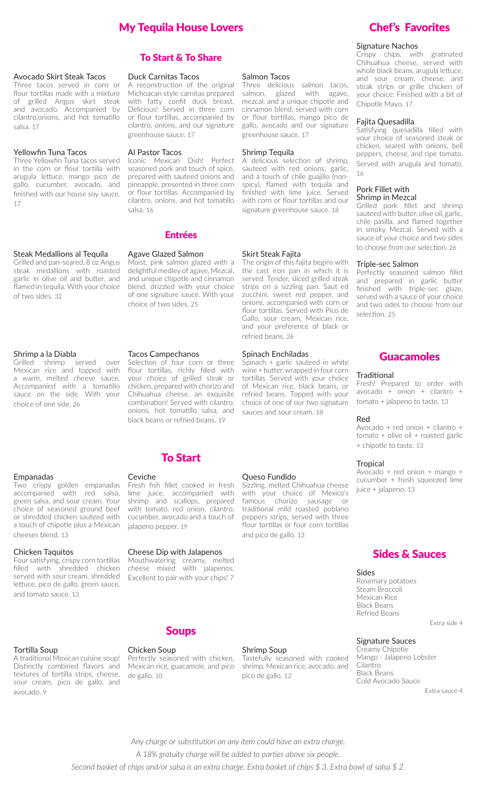# My Tequila House Lovers

### Avocado Skirt Steak Tacos

Three tacos served in corn or flour tortillas made with a mixture of grilled Angus skirt steak and avocado. Accompanied by cilantro,onions, and hot tomatillo salsa. 17

### Yellowfin Tuna Tacos

Three Yellowfin Tuna tacos served in the corn or flour tortilla with arugula lettuce, mango pico de gallo, cucumber, avocado, and finished with our house soy sauce. 17

### Steak Medallions al Tequila

Grilled and pan-seared, 8 oz Angus steak medallions with roasted garlic in olive oil and butter, and flamed in tequila. With your choice of two sides. 32

### Shrimp a la Diabla

Grilled shrimp served over Mexican rice and topped with a warm, melted cheese sauce. Accompanied with a tomatillo sauce on the side. With your choice of one side. 26

### Empanadas

Two crispy golden empanadas accompanied with red salsa, green salsa, and sour cream. Your choice of seasoned ground beef or shredded chicken sauteed with a touch of chipotle plus a Mexican cheeses blend. 13

#### Chicken Taquitos

Four satisfying, crispy corn tortillas filled with shredded chicken served with sour cream, shredded lettuce, pico de gallo, green sauce, and tomato sauce. 13

### Tortilla Soup

A traditional Mexican cuisine soup! Distinctly combined flavors and textures of tortilla strips, cheese, sour cream, pico de gallo, and avocado. 9

### To Start & To Share

#### Duck Carnitas Tacos

A reconstruction of the original Michoacan style carnitas prepared with fatty confit duck breast. Delicious! Served in three corn or flour tortillas, accompanied by cilantro, onions, and our signature greenhouse sauce. 17

### Al Pastor Tacos

Iconic Mexican Dish! Perfect seasoned pork and touch of spice, prepared with sauteed onions and pineapple, presented in three corn or flour tortillas. Accompanied by cilantro, onions, and hot tomatillo salsa. 16

# Entrées

### Agave Glazed Salmon

Moist, pink salmon glazed with a delightful medley of agave, Mezcal, and unique chipotle and cinnamon blend, drizzled with your choice of one signature sauce. With your choice of two sides. 25

### Tacos Campechanos

Selection of four corn or three flour tortillas, richly filled with your choice of grilled steak or chicken, prepared with chorizo and Chihuahua cheese, an exquisite combination! Served with cilantro, onions, hot tomatillo salsa, and black beans or refried beans. 19

### To Start

### Ceviche

Fresh fish fillet cooked in fresh lime juice, accompanied with shrimp and scallops, prepared with tomato, red onion, cilantro, cucumber, avocado and a touch of jalapeno pepper. 19

### Cheese Dip with Jalapenos

Mouthwatering creamy, melted cheese mixed with jalapenos. Excellent to pair with your chips! 7

# Soups

### Chicken Soup

Perfectly seasoned with chicken, Mexican rice, guacamole, and pico de gallo. 10

Shrimp Soup Tastefully seasoned with cooked shrimp, Mexican rice, avocado, and pico de gallo. 12

Queso Fundido

Salmon Tacos

greenhouse sauce. 17

Shrimp Tequila

Skirt Steak Fajita

refried beans. 26

Spinach Enchiladas

sauces and sour cream. 18

Three delicious salmon tacos, salmon, glazed with agave. mezcal, and a unique chipotle and cinnamon blend, served with corn or flour tortillas, mango pico de gallo, avocado and our signature

A delicious selection of shrimp, sauteed with red onions, garlic, and a touch of chile guajillo (nonspicy), flamed with tequila and finished with lime juice. Served with corn or flour tortillas and our signature greenhouse sauce. 18

The origin of this fajita begins with the cast iron pan in which it is served. Tender, sliced grilled steak strips on a sizzling pan. Saut ed zucchini, sweet red pepper, and onions, accompanied with corn or flour tortillas. Served with Pico de Gallo, sour cream, Mexican rice, and your preference of black or

Spinach + garlic sauteed in white wine + butter, wrapped in four corn tortillas. Served with your choice of Mexican rice, black beans, or refried beans. Topped with your choice of one of our two signature

and pico de gallo. 13

Sizzling, melted Chihuahua cheese with your choice of Mexico's famous chorizo sausage or traditional mild roasted poblano peppers strips, served with three flour tortillas or four corn tortillas

## Chef's Favorites

### Signature Nachos

Crispy chips, with gratinated Chihuahua cheese, served with whole black beans, arugula lettuce, and sour cream, cheese, and steak strips or grille chicken of your choice; Finished with a bit of Chipotle Mayo. 17

### Fajita Quesadilla

Satisfying quesadilla filled with your choice of seasoned steak or chicken, seared with onions, bell peppers, cheese, and ripe tomato. Served with arugula and tomato. 16

### Pork Fillet with Shrimp in Mezcal

Grilled pork fillet and shrimp sauteed with butter, olive oil, garlic, chile pasilla, and flamed together in smoky Mezcal. Served with a sauce of your choice and two sides to choose from our selection. 26

### Triple-sec Salmon

Perfectly seasoned salmon fillet and prepared in garlic butter finished with triple-sec glaze, served with a sauce of your choice and two sides to choose from our selection. 25

### Guacamoles

### **Traditional**

Fresh! Prepared to order with avocado + onion + cilantro + tomato + jalapeno to taste. 13

#### Red

Avocado + red onion + cilantro + tomato + olive oil + roasted garlic + chipotle to taste. 13

### **Tropical**

Avocado + red onion + mango + cucumber + fresh squeezed lime juice + jalapeno. 13

### Sides & Sauces

### Sides

Rosemary potatoes Steam Broccoli Mexican Rice Black Beans Refried Beans

Extra side 4

### Signature Sauces

Creamy Chipotle Mango - Jalapeno Lobster Cilantro Black Beans Cold Avocado Sauce

Extra sauce 4

*Any charge or substitution on any item could have an extra charge. A 18% gratuity charge will be added to parties above six people. Second basket of chips and/or salsa is an extra charge. Extra basket of chips \$ 3. Extra bowl of salsa \$ 2.*